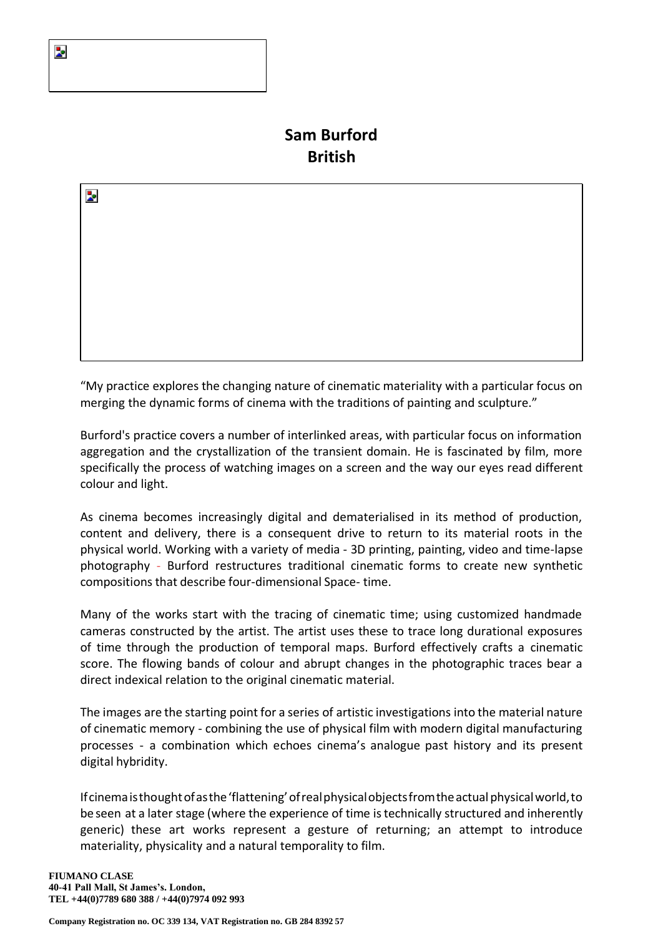# **Sam Burford British**

"My practice explores the changing nature of cinematic materiality with a particular focus on merging the dynamic forms of cinema with the traditions of painting and sculpture."

Burford's practice covers a number of interlinked areas, with particular focus on information aggregation and the crystallization of the transient domain. He is fascinated by film, more specifically the process of watching images on a screen and the way our eyes read different colour and light.

As cinema becomes increasingly digital and dematerialised in its method of production, content and delivery, there is a consequent drive to return to its material roots in the physical world. Working with a variety of media - 3D printing, painting, video and time-lapse photography - Burford restructures traditional cinematic forms to create new synthetic compositions that describe four-dimensional Space- time.

Many of the works start with the tracing of cinematic time; using customized handmade cameras constructed by the artist. The artist uses these to trace long durational exposures of time through the production of temporal maps. Burford effectively crafts a cinematic score. The flowing bands of colour and abrupt changes in the photographic traces bear a direct indexical relation to the original cinematic material.

The images are the starting point for a series of artistic investigations into the material nature of cinematic memory - combining the use of physical film with modern digital manufacturing processes - a combination which echoes cinema's analogue past history and its present digital hybridity.

Ifcinemaisthoughtofasthe'flattening'ofrealphysicalobjectsfromtheactualphysicalworld,to be seen at a later stage (where the experience of time istechnically structured and inherently generic) these art works represent a gesture of returning; an attempt to introduce materiality, physicality and a natural temporality to film.

Z.

Þ.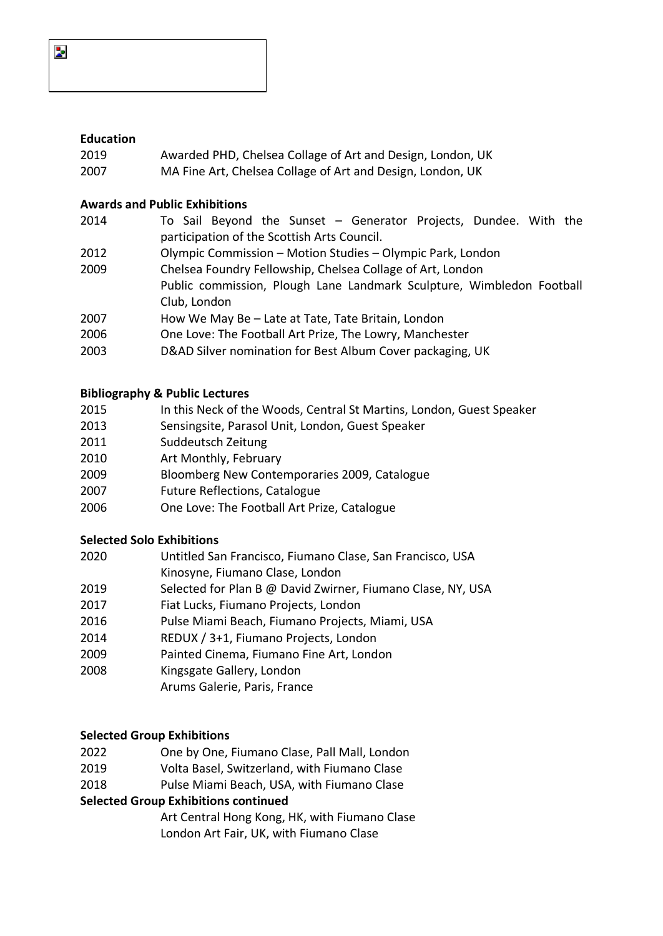## **Education**

- Awarded PHD, Chelsea Collage of Art and Design, London, UK
- MA Fine Art, Chelsea Collage of Art and Design, London, UK

#### **Awards and Public Exhibitions**

- To Sail Beyond the Sunset Generator Projects, Dundee. With the participation of the Scottish Arts Council. Olympic Commission – Motion Studies – Olympic Park, London Chelsea Foundry Fellowship, Chelsea Collage of Art, London
- Public commission, Plough Lane Landmark Sculpture, Wimbledon Football Club, London
- How We May Be Late at Tate, Tate Britain, London
- One Love: The Football Art Prize, The Lowry, Manchester
- D&AD Silver nomination for Best Album Cover packaging, UK

### **Bibliography & Public Lectures**

- In this Neck of the Woods, Central St Martins, London, Guest Speaker
- Sensingsite, Parasol Unit, London, Guest Speaker
- Suddeutsch Zeitung
- Art Monthly, February
- Bloomberg New Contemporaries 2009, Catalogue
- Future Reflections, Catalogue
- One Love: The Football Art Prize, Catalogue

#### **Selected Solo Exhibitions**

- Untitled San Francisco, Fiumano Clase, San Francisco, USA Kinosyne, Fiumano Clase, London
- Selected for Plan B @ David Zwirner, Fiumano Clase, NY, USA
- Fiat Lucks, Fiumano Projects, London
- Pulse Miami Beach, Fiumano Projects, Miami, USA
- REDUX / 3+1, Fiumano Projects, London
- Painted Cinema, Fiumano Fine Art, London
- Kingsgate Gallery, London
	- Arums Galerie, Paris, France

# **Selected Group Exhibitions**

- One by One, Fiumano Clase, Pall Mall, London
- Volta Basel, Switzerland, with Fiumano Clase
- Pulse Miami Beach, USA, with Fiumano Clase

# **Selected Group Exhibitions continued**

Art Central Hong Kong, HK, with Fiumano Clase London Art Fair, UK, with Fiumano Clase

Z.